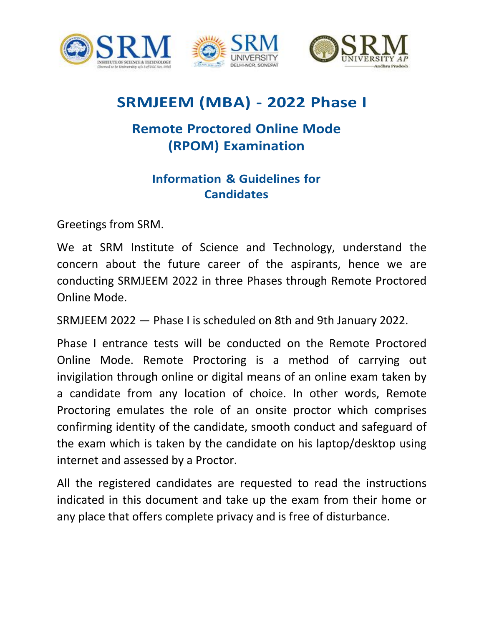





# **SRMJEEM (MBA) - 2022 Phase I**

# **Remote Proctored Online Mode (RPOM) Examination**

# **Information & Guidelines for Candidates**

Greetings from SRM.

We at SRM Institute of Science and Technology, understand the concern about the future career of the aspirants, hence we are conducting SRMJEEM 2022 in three Phases through Remote Proctored Online Mode.

SRMJEEM 2022 — Phase I is scheduled on 8th and 9th January 2022.

Phase I entrance tests will be conducted on the Remote Proctored Online Mode. Remote Proctoring is a method of carrying out invigilation through online or digital means of an online exam taken by a candidate from any location of choice. In other words, Remote Proctoring emulates the role of an onsite proctor which comprises confirming identity of the candidate, smooth conduct and safeguard of the exam which is taken by the candidate on his laptop/desktop using internet and assessed by a Proctor.

All the registered candidates are requested to read the instructions indicated in this document and take up the exam from their home or any place that offers complete privacy and is free of disturbance.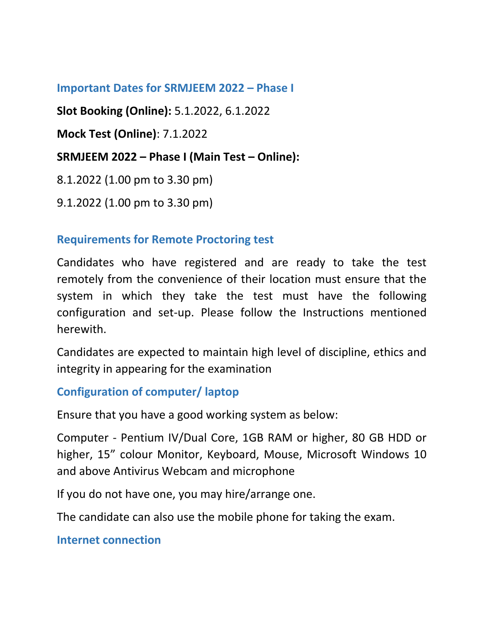### **Important Dates for SRMJEEM 2022 – Phase I**

**Slot Booking (Online):** 5.1.2022, 6.1.2022

**Mock Test (Online)**: 7.1.2022

### **SRMJEEM 2022 – Phase I (Main Test – Online):**

8.1.2022 (1.00 pm to 3.30 pm)

9.1.2022 (1.00 pm to 3.30 pm)

#### **Requirements for Remote Proctoring test**

Candidates who have registered and are ready to take the test remotely from the convenience of their location must ensure that the system in which they take the test must have the following configuration and set-up. Please follow the Instructions mentioned herewith.

Candidates are expected to maintain high level of discipline, ethics and integrity in appearing for the examination

**Configuration of computer/ laptop**

Ensure that you have a good working system as below:

Computer - Pentium IV/Dual Core, 1GB RAM or higher, 80 GB HDD or higher, 15" colour Monitor, Keyboard, Mouse, Microsoft Windows 10 and above Antivirus Webcam and microphone

If you do not have one, you may hire/arrange one.

The candidate can also use the mobile phone for taking the exam.

**Internet connection**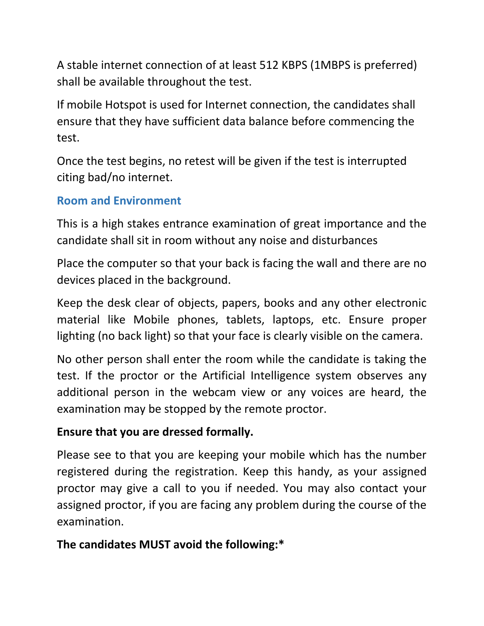A stable internet connection of at least 512 KBPS (1MBPS is preferred) shall be available throughout the test.

If mobile Hotspot is used for Internet connection, the candidates shall ensure that they have sufficient data balance before commencing the test.

Once the test begins, no retest will be given if the test is interrupted citing bad/no internet.

## **Room and Environment**

This is a high stakes entrance examination of great importance and the candidate shall sit in room without any noise and disturbances

Place the computer so that your back is facing the wall and there are no devices placed in the background.

Keep the desk clear of objects, papers, books and any other electronic material like Mobile phones, tablets, laptops, etc. Ensure proper lighting (no back light) so that your face is clearly visible on the camera.

No other person shall enter the room while the candidate is taking the test. If the proctor or the Artificial Intelligence system observes any additional person in the webcam view or any voices are heard, the examination may be stopped by the remote proctor.

### **Ensure that you are dressed formally.**

Please see to that you are keeping your mobile which has the number registered during the registration. Keep this handy, as your assigned proctor may give a call to you if needed. You may also contact your assigned proctor, if you are facing any problem during the course of the examination.

# **The candidates MUST avoid the following:\***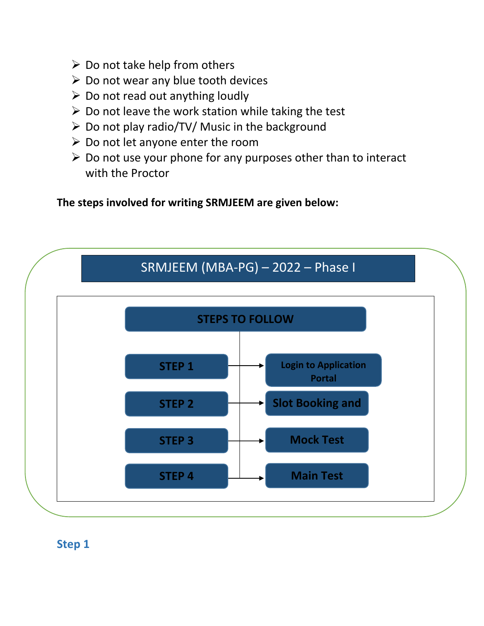- $\triangleright$  Do not take help from others
- $\triangleright$  Do not wear any blue tooth devices
- $\triangleright$  Do not read out anything loudly
- $\triangleright$  Do not leave the work station while taking the test
- Do not play radio/TV/ Music in the background
- $\triangleright$  Do not let anyone enter the room
- $\triangleright$  Do not use your phone for any purposes other than to interact with the Proctor

**The steps involved for writing SRMJEEM are given below:**



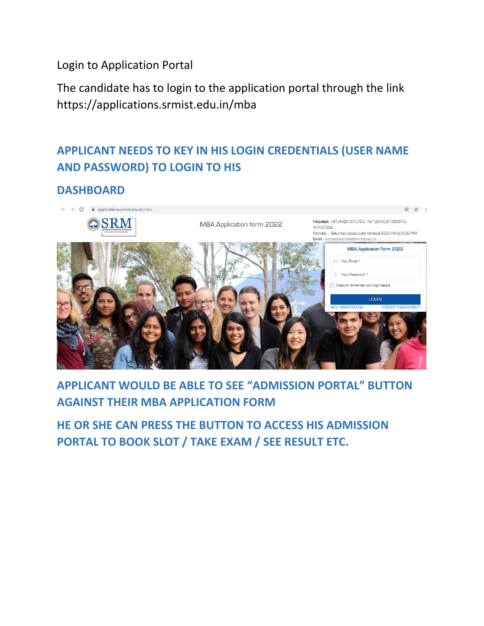Login to Application Portal

The candidate has to login to the application portal through the link https://applications.srmist.edu.in/mba

# **APPLICANT NEEDS TO KEY IN HIS LOGIN CREDENTIALS (USER NAME AND PASSWORD) TO LOGIN TO HIS**

#### **DASHBOARD**



# **APPLICANT WOULD BE ABLE TO SEE "ADMISSION PORTAL" BUTTON AGAINST THEIR MBA APPLICATION FORM**

**HE OR SHE CAN PRESS THE BUTTON TO ACCESS HIS ADMISSION PORTAL TO BOOK SLOT / TAKE EXAM / SEE RESULT ETC.**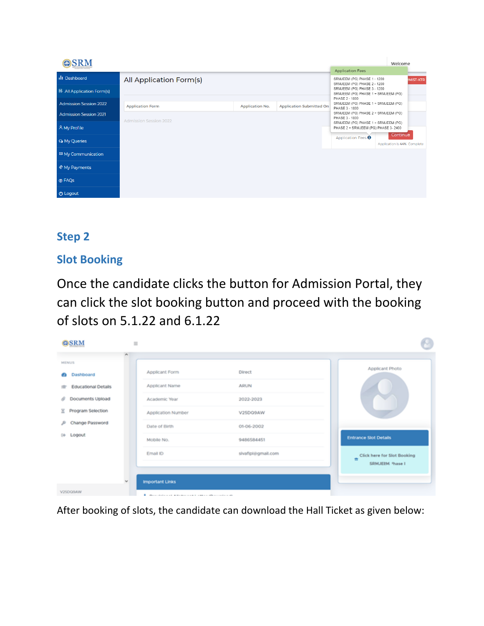| ${\bf SRM}$                      |                               |                        |                                 |                                                                            | Welcome                                 |                 |
|----------------------------------|-------------------------------|------------------------|---------------------------------|----------------------------------------------------------------------------|-----------------------------------------|-----------------|
|                                  |                               |                        |                                 | <b>Application Fees</b>                                                    |                                         |                 |
| <b>III</b> Dashboard             | All Application Form(s)       |                        |                                 | SRMJEEM (PG) PHASE 1 - 1200<br>SRMJEEM (PG) PHASE 2 - 1200                 |                                         | <b>MIST-KTR</b> |
| <b>B</b> All Application Form(s) |                               |                        |                                 | SRMJEEM (PG) PHASE 3 - 1200<br>SRMJEEM (PG) PHASE 1 + SRMJEEM (PG)         |                                         |                 |
| <b>Admission Session 2022</b>    | <b>Application Form</b>       | <b>Application No.</b> | <b>Application Submitted On</b> | PHASE 2 - 1800<br>SRMJEEM (PG) PHASE 1 + SRMJEEM (PG)<br>PHASE 3 - 1800    |                                         |                 |
| <b>Admission Session 2021</b>    | <b>Admission Session 2022</b> |                        |                                 | SRMJEEM (PG) PHASE 2 + SRMJEEM (PG)<br>PHASE 3 - 1800                      |                                         |                 |
| A My Profile                     |                               |                        |                                 | SRMJEEM (PG) PHASE 1 + SRMJEEM (PG)<br>PHASE 2 + SRMJEEM (PG) PHASE 3-2400 |                                         |                 |
| <b>Q</b> My Queries              |                               |                        |                                 | Application Fees <sup>O</sup>                                              | Continue<br>Application is 44% Complete |                 |
| <sup>⊠</sup> My Communication    |                               |                        |                                 |                                                                            |                                         |                 |
| My Payments                      |                               |                        |                                 |                                                                            |                                         |                 |
| <b>O</b> FAQs                    |                               |                        |                                 |                                                                            |                                         |                 |
| <b><i>O</i></b> Logout           |                               |                        |                                 |                                                                            |                                         |                 |

# **Step 2**

### **Slot Booking**

Once the candidate clicks the button for Admission Portal, they can click the slot booking button and proceed with the booking of slots on 5.1.22 and 6.1.22

| OSRM                                                                                                              | $\equiv$ |                                                                                                                                                                                                                                                          |                                         | M                                                   |
|-------------------------------------------------------------------------------------------------------------------|----------|----------------------------------------------------------------------------------------------------------------------------------------------------------------------------------------------------------------------------------------------------------|-----------------------------------------|-----------------------------------------------------|
| <b>MENUS</b><br>Dashboard<br>æ.<br><b>Educational Details</b><br>Documents Upload<br>a<br>Program Selection<br>×. | ×.       | Applicant Form<br>Applicant Name<br>Academic Year<br>Application Number                                                                                                                                                                                  | Direct<br>ARUN<br>2022-2023<br>V25DQ9AW | Applicant Photo                                     |
| Change Password<br>s<br>Logout<br><b>Edi-</b>                                                                     |          | Date of Birth<br>Mobile No.                                                                                                                                                                                                                              | 01-06-2002<br>9486584451                | <b>Entrance Slot Details</b>                        |
|                                                                                                                   |          | Email ID                                                                                                                                                                                                                                                 | sivafipl@gmail.com                      | Click here for Slot Booking<br>٠<br>SRMJEEM Phase I |
| V25DQ9AW                                                                                                          | $\sim$   | <b>Important Links</b><br>The property of the state of the property of the state of the contract of the state of the state of the state of the state of the state of the state of the state of the state of the state of the state of the state of the s |                                         |                                                     |

After booking of slots, the candidate can download the Hall Ticket as given below: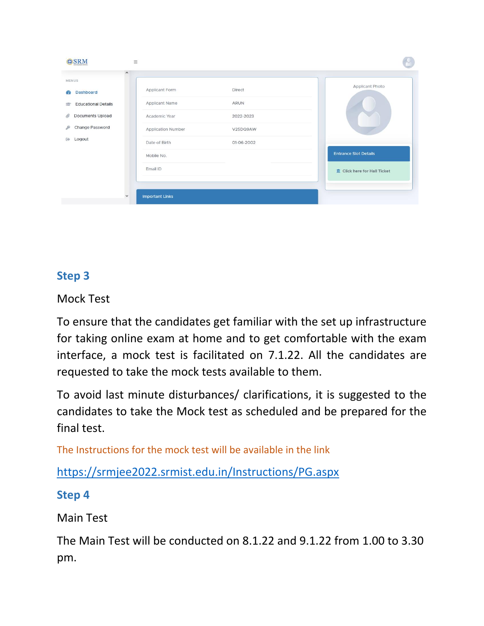| OSRM                                                                                                                          | $\equiv$                                                                                                                                                                                           |                                                                               |
|-------------------------------------------------------------------------------------------------------------------------------|----------------------------------------------------------------------------------------------------------------------------------------------------------------------------------------------------|-------------------------------------------------------------------------------|
| <b>MENUS</b><br>Dashboard<br>Œ.<br><b>Educational Details</b><br>Documents Upload<br>O<br>Change Password<br>D<br>Logout<br>砂 | $\hat{\phantom{a}}$<br>Applicant Form<br>Direct<br>Applicant Name<br>ARUN<br>Academic Year<br>2022-2023<br>Application Number<br>V25DQ9AW<br>Date of Birth<br>01-06-2002<br>Mobile No.<br>Email ID | Applicant Photo<br><b>Entrance Slot Details</b><br>Click here for Hall Ticket |
|                                                                                                                               | <b>Important Links</b><br>$\checkmark$                                                                                                                                                             |                                                                               |

### **Step 3**

Mock Test

To ensure that the candidates get familiar with the set up infrastructure for taking online exam at home and to get comfortable with the exam interface, a mock test is facilitated on 7.1.22. All the candidates are requested to take the mock tests available to them.

To avoid last minute disturbances/ clarifications, it is suggested to the candidates to take the Mock test as scheduled and be prepared for the final test.

The Instructions for the mock test will be available in the link

<https://srmjee2022.srmist.edu.in/Instructions/PG.aspx>

### **Step 4**

Main Test

The Main Test will be conducted on 8.1.22 and 9.1.22 from 1.00 to 3.30 pm.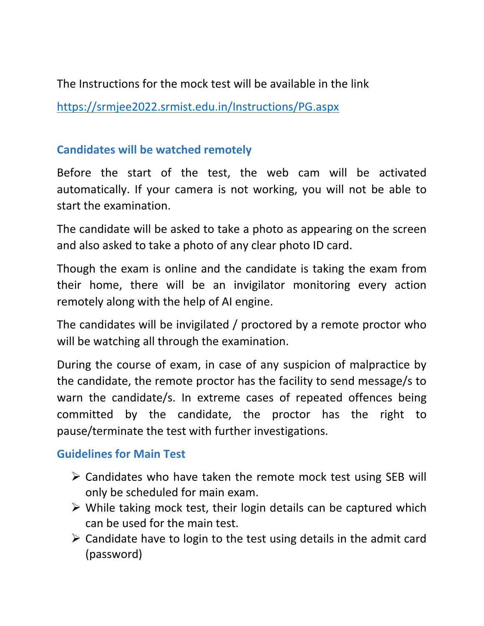The Instructions for the mock test will be available in the link

<https://srmjee2022.srmist.edu.in/Instructions/PG.aspx>

### **Candidates will be watched remotely**

Before the start of the test, the web cam will be activated automatically. If your camera is not working, you will not be able to start the examination.

The candidate will be asked to take a photo as appearing on the screen and also asked to take a photo of any clear photo ID card.

Though the exam is online and the candidate is taking the exam from their home, there will be an invigilator monitoring every action remotely along with the help of AI engine.

The candidates will be invigilated / proctored by a remote proctor who will be watching all through the examination.

During the course of exam, in case of any suspicion of malpractice by the candidate, the remote proctor has the facility to send message/s to warn the candidate/s. In extreme cases of repeated offences being committed by the candidate, the proctor has the right to pause/terminate the test with further investigations.

### **Guidelines for Main Test**

- $\triangleright$  Candidates who have taken the remote mock test using SEB will only be scheduled for main exam.
- $\triangleright$  While taking mock test, their login details can be captured which can be used for the main test.
- $\triangleright$  Candidate have to login to the test using details in the admit card (password)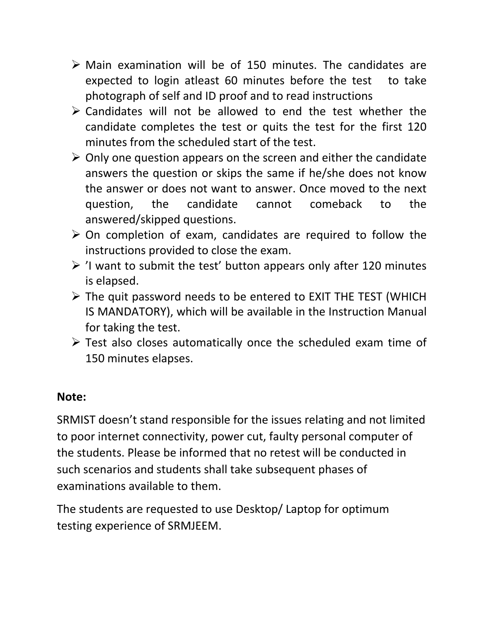- $\triangleright$  Main examination will be of 150 minutes. The candidates are expected to login atleast 60 minutes before the test to take photograph of self and ID proof and to read instructions
- $\triangleright$  Candidates will not be allowed to end the test whether the candidate completes the test or quits the test for the first 120 minutes from the scheduled start of the test.
- $\triangleright$  Only one question appears on the screen and either the candidate answers the question or skips the same if he/she does not know the answer or does not want to answer. Once moved to the next question, the candidate cannot comeback to the answered/skipped questions.
- $\triangleright$  On completion of exam, candidates are required to follow the instructions provided to close the exam.
- $\triangleright$  'I want to submit the test' button appears only after 120 minutes is elapsed.
- $\triangleright$  The quit password needs to be entered to EXIT THE TEST (WHICH IS MANDATORY), which will be available in the Instruction Manual for taking the test.
- $\triangleright$  Test also closes automatically once the scheduled exam time of 150 minutes elapses.

### **Note:**

SRMIST doesn't stand responsible for the issues relating and not limited to poor internet connectivity, power cut, faulty personal computer of the students. Please be informed that no retest will be conducted in such scenarios and students shall take subsequent phases of examinations available to them.

The students are requested to use Desktop/ Laptop for optimum testing experience of SRMJEEM.